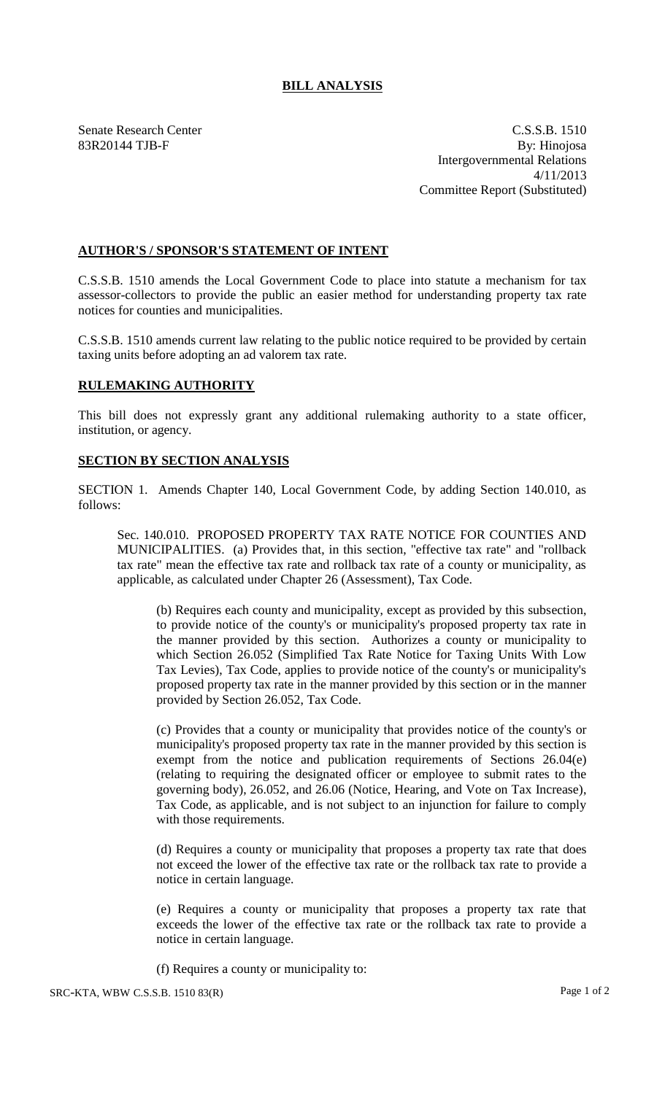## **BILL ANALYSIS**

Senate Research Center C.S.S.B. 1510 83R20144 TJB-F By: Hinojosa Intergovernmental Relations 4/11/2013 Committee Report (Substituted)

## **AUTHOR'S / SPONSOR'S STATEMENT OF INTENT**

C.S.S.B. 1510 amends the Local Government Code to place into statute a mechanism for tax assessor-collectors to provide the public an easier method for understanding property tax rate notices for counties and municipalities.

C.S.S.B. 1510 amends current law relating to the public notice required to be provided by certain taxing units before adopting an ad valorem tax rate.

## **RULEMAKING AUTHORITY**

This bill does not expressly grant any additional rulemaking authority to a state officer, institution, or agency.

## **SECTION BY SECTION ANALYSIS**

SECTION 1. Amends Chapter 140, Local Government Code, by adding Section 140.010, as follows:

Sec. 140.010. PROPOSED PROPERTY TAX RATE NOTICE FOR COUNTIES AND MUNICIPALITIES. (a) Provides that, in this section, "effective tax rate" and "rollback tax rate" mean the effective tax rate and rollback tax rate of a county or municipality, as applicable, as calculated under Chapter 26 (Assessment), Tax Code.

(b) Requires each county and municipality, except as provided by this subsection, to provide notice of the county's or municipality's proposed property tax rate in the manner provided by this section. Authorizes a county or municipality to which Section 26.052 (Simplified Tax Rate Notice for Taxing Units With Low Tax Levies), Tax Code, applies to provide notice of the county's or municipality's proposed property tax rate in the manner provided by this section or in the manner provided by Section 26.052, Tax Code.

(c) Provides that a county or municipality that provides notice of the county's or municipality's proposed property tax rate in the manner provided by this section is exempt from the notice and publication requirements of Sections 26.04(e) (relating to requiring the designated officer or employee to submit rates to the governing body), 26.052, and 26.06 (Notice, Hearing, and Vote on Tax Increase), Tax Code, as applicable, and is not subject to an injunction for failure to comply with those requirements.

(d) Requires a county or municipality that proposes a property tax rate that does not exceed the lower of the effective tax rate or the rollback tax rate to provide a notice in certain language.

(e) Requires a county or municipality that proposes a property tax rate that exceeds the lower of the effective tax rate or the rollback tax rate to provide a notice in certain language.

(f) Requires a county or municipality to: